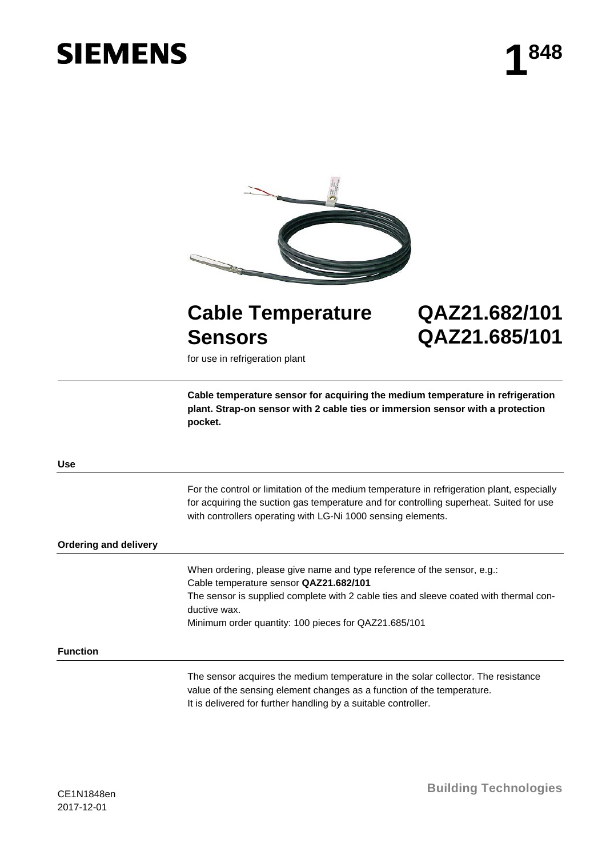# **SIEMENS**



# **Cable Temperature Sensors QAZ21.682/101 QAZ21.685/101**

for use in refrigeration plant

**Cable temperature sensor for acquiring the medium temperature in refrigeration plant. Strap-on sensor with 2 cable ties or immersion sensor with a protection pocket.**

**Use**

For the control or limitation of the medium temperature in refrigeration plant, especially for acquiring the suction gas temperature and for controlling superheat. Suited for use with controllers operating with LG-Ni 1000 sensing elements.

### **Ordering and delivery**

When ordering, please give name and type reference of the sensor, e.g.: Cable temperature sensor **QAZ21.682/101** The sensor is supplied complete with 2 cable ties and sleeve coated with thermal conductive wax. Minimum order quantity: 100 pieces for QAZ21.685/101

## **Function**

The sensor acquires the medium temperature in the solar collector. The resistance value of the sensing element changes as a function of the temperature. It is delivered for further handling by a suitable controller.

**Building Technologies**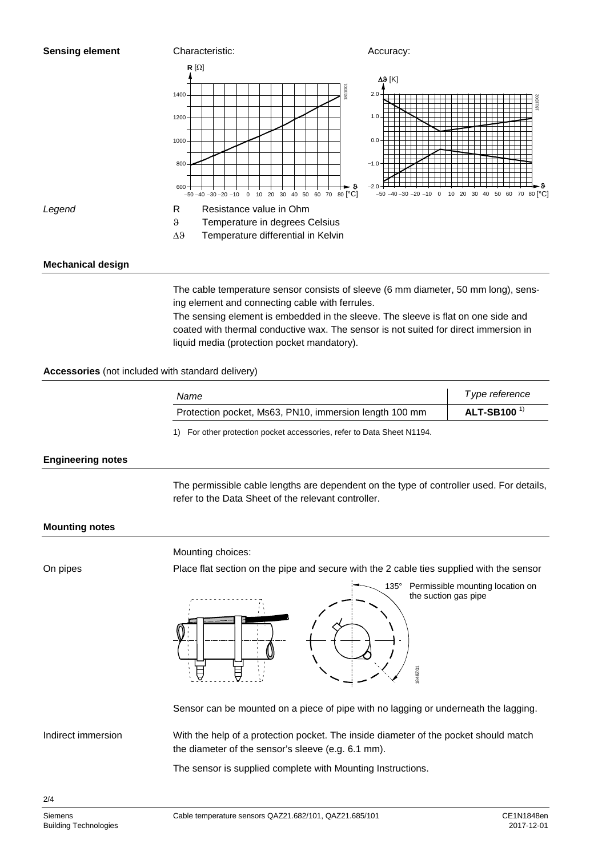

# **Mechanical design**

The cable temperature sensor consists of sleeve (6 mm diameter, 50 mm long), sensing element and connecting cable with ferrules.

The sensing element is embedded in the sleeve. The sleeve is flat on one side and coated with thermal conductive wax. The sensor is not suited for direct immersion in liquid media (protection pocket mandatory).

# **Accessories** (not included with standard delivery)

| Name                                                   | Type reference                |
|--------------------------------------------------------|-------------------------------|
| Protection pocket, Ms63, PN10, immersion length 100 mm | <b>ALT-SB100<sup>1)</sup></b> |

1) For other protection pocket accessories, refer to Data Sheet N1194.

### **Engineering notes**

The permissible cable lengths are dependent on the type of controller used. For details, refer to the Data Sheet of the relevant controller.

### **Mounting notes**

On pipes

Mounting choices:

Place flat section on the pipe and secure with the 2 cable ties supplied with the sensor



135° Permissible mounting location on the suction gas pipe

Indirect immersion

Sensor can be mounted on a piece of pipe with no lagging or underneath the lagging.

With the help of a protection pocket. The inside diameter of the pocket should match the diameter of the sensor's sleeve (e.g. 6.1 mm).

The sensor is supplied complete with Mounting Instructions.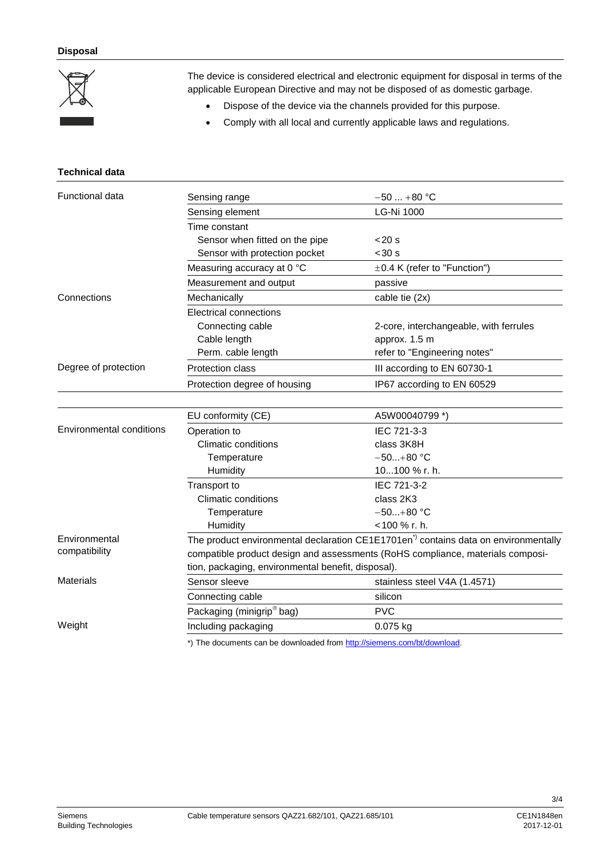

**Technical data**

The device is considered electrical and electronic equipment for disposal in terms of the applicable European Directive and may not be disposed of as domestic garbage.

- Dispose of the device via the channels provided for this purpose.
- Comply with all local and currently applicable laws and regulations.

| <b>Functional data</b>          | Sensing range                                                                                  | $-50+80 °C$                            |  |
|---------------------------------|------------------------------------------------------------------------------------------------|----------------------------------------|--|
|                                 | Sensing element                                                                                | <b>LG-Ni 1000</b>                      |  |
|                                 | Time constant                                                                                  |                                        |  |
|                                 | Sensor when fitted on the pipe                                                                 | $<$ 20 s                               |  |
|                                 | Sensor with protection pocket                                                                  | $30 s$                                 |  |
|                                 | Measuring accuracy at 0 °C                                                                     | $\pm 0.4$ K (refer to "Function")      |  |
|                                 | Measurement and output                                                                         | passive                                |  |
| Connections                     | Mechanically                                                                                   | cable tie (2x)                         |  |
|                                 | <b>Electrical connections</b>                                                                  |                                        |  |
|                                 | Connecting cable                                                                               | 2-core, interchangeable, with ferrules |  |
|                                 | Cable length                                                                                   | approx. 1.5 m                          |  |
|                                 | Perm. cable length                                                                             | refer to "Engineering notes"           |  |
| Degree of protection            | Protection class                                                                               | III according to EN 60730-1            |  |
|                                 | Protection degree of housing                                                                   | IP67 according to EN 60529             |  |
|                                 |                                                                                                |                                        |  |
|                                 | EU conformity (CE)                                                                             | A5W00040799 *)                         |  |
| <b>Environmental conditions</b> | Operation to                                                                                   | IEC 721-3-3                            |  |
|                                 | <b>Climatic conditions</b>                                                                     | class 3K8H                             |  |
|                                 | Temperature                                                                                    | $-50+80$ °C                            |  |
|                                 | Humidity                                                                                       | 10100 % r. h.                          |  |
|                                 | <b>Transport to</b>                                                                            | IEC 721-3-2                            |  |
|                                 | <b>Climatic conditions</b>                                                                     | class 2K3                              |  |
|                                 | Temperature                                                                                    | $-50+80$ °C                            |  |
|                                 | Humidity                                                                                       | <100 % r. h.                           |  |
| Environmental                   | The product environmental declaration CE1E1701en <sup>*</sup> contains data on environmentally |                                        |  |
| compatibility                   | compatible product design and assessments (RoHS compliance, materials composi-                 |                                        |  |
|                                 | tion, packaging, environmental benefit, disposal).                                             |                                        |  |
| Materials                       | Sensor sleeve                                                                                  | stainless steel V4A (1.4571)           |  |
|                                 | Connecting cable                                                                               | silicon                                |  |
|                                 | Packaging (minigrip <sup>®</sup> bag)                                                          | <b>PVC</b>                             |  |
| Weight                          | Including packaging                                                                            | 0.075 kg                               |  |
|                                 | $\mathbf{a}$ and $\mathbf{a}$ and $\mathbf{a}$                                                 |                                        |  |

\*) The documents can be downloaded fro[m http://siemens.com/bt/download.](http://siemens.com/bt/download)

3/4